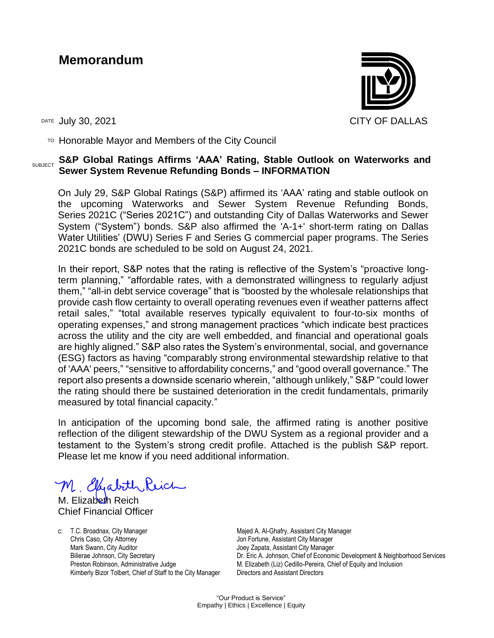## **Memorandum**



TO Honorable Mayor and Members of the City Council

#### SUBJECT **S&P Global Ratings Affirms 'AAA' Rating, Stable Outlook on Waterworks and Sewer System Revenue Refunding Bonds – INFORMATION**

On July 29, S&P Global Ratings (S&P) affirmed its 'AAA' rating and stable outlook on the upcoming Waterworks and Sewer System Revenue Refunding Bonds, Series 2021C ("Series 2021C") and outstanding City of Dallas Waterworks and Sewer System ("System") bonds. S&P also affirmed the 'A-1+' short-term rating on Dallas Water Utilities' (DWU) Series F and Series G commercial paper programs. The Series 2021C bonds are scheduled to be sold on August 24, 2021.

In their report, S&P notes that the rating is reflective of the System's "proactive longterm planning," "affordable rates, with a demonstrated willingness to regularly adjust them," "all-in debt service coverage" that is "boosted by the wholesale relationships that provide cash flow certainty to overall operating revenues even if weather patterns affect retail sales," "total available reserves typically equivalent to four-to-six months of operating expenses," and strong management practices "which indicate best practices across the utility and the city are well embedded, and financial and operational goals are highly aligned." S&P also rates the System's environmental, social, and governance (ESG) factors as having "comparably strong environmental stewardship relative to that of 'AAA' peers," "sensitive to affordability concerns," and "good overall governance." The report also presents a downside scenario wherein, "although unlikely," S&P "could lower the rating should there be sustained deterioration in the credit fundamentals, primarily measured by total financial capacity."

In anticipation of the upcoming bond sale, the affirmed rating is another positive reflection of the diligent stewardship of the DWU System as a regional provider and a testament to the System's strong credit profile. Attached is the publish S&P report. Please let me know if you need additional information.

M. Elhabith Reich

M. Elizabeth Reich Chief Financial Officer

c: T.C. Broadnax, City Manager Chris Caso, City Attorney Mark Swann, City Auditor Bilierae Johnson, City Secretary Preston Robinson, Administrative Judge Kimberly Bizor Tolbert, Chief of Staff to the City Manager Majed A. Al-Ghafry, Assistant City Manager Jon Fortune, Assistant City Manager Joey Zapata, Assistant City Manager Dr. Eric A. Johnson, Chief of Economic Development & Neighborhood Services M. Elizabeth (Liz) Cedillo-Pereira, Chief of Equity and Inclusion Directors and Assistant Directors

"Our Product is Service" Empathy | Ethics | Excellence | Equity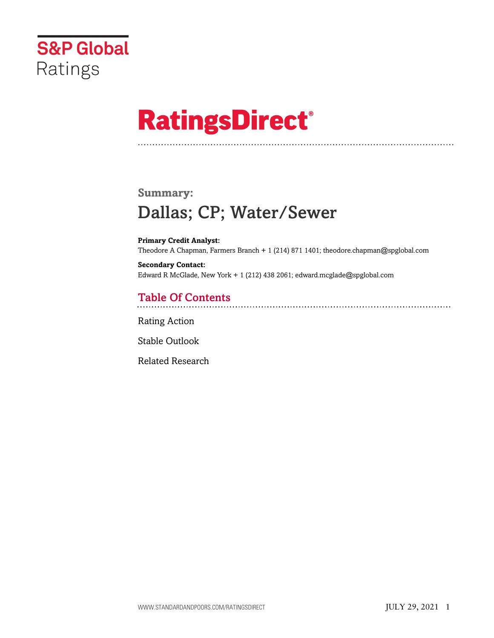

# **RatingsDirect®**

# **Summary:** Dallas; CP; Water/Sewer

**Primary Credit Analyst:** Theodore A Chapman, Farmers Branch + 1 (214) 871 1401; theodore.chapman@spglobal.com

**Secondary Contact:** Edward R McGlade, New York + 1 (212) 438 2061; edward.mcglade@spglobal.com

# Table Of Contents

[Rating Action](#page-2-0)

[Stable Outlook](#page-4-0)

[Related Research](#page-4-1)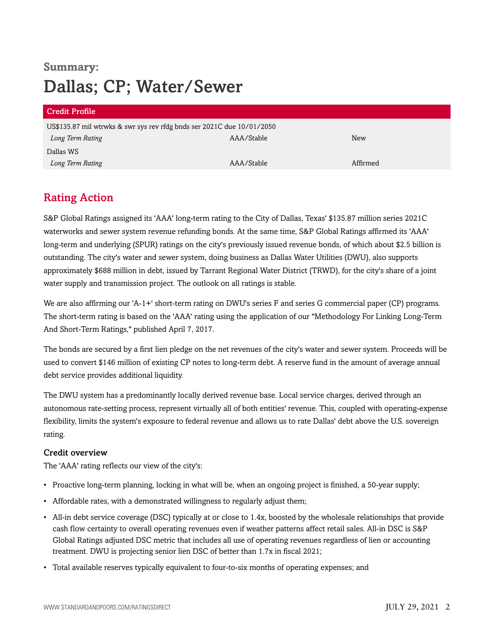# **Summary:** Dallas; CP; Water/Sewer

| <b>Credit Profile</b>                                                  |            |          |  |  |
|------------------------------------------------------------------------|------------|----------|--|--|
| US\$135.87 mil wtrwks & swr sys rev rfdg bnds ser 2021C due 10/01/2050 |            |          |  |  |
| Long Term Rating                                                       | AAA/Stable | New      |  |  |
| Dallas WS                                                              |            |          |  |  |
| Long Term Rating                                                       | AAA/Stable | Affirmed |  |  |

## <span id="page-2-0"></span>Rating Action

S&P Global Ratings assigned its 'AAA' long-term rating to the City of Dallas, Texas' \$135.87 million series 2021C waterworks and sewer system revenue refunding bonds. At the same time, S&P Global Ratings affirmed its 'AAA' long-term and underlying (SPUR) ratings on the city's previously issued revenue bonds, of which about \$2.5 billion is outstanding. The city's water and sewer system, doing business as Dallas Water Utilities (DWU), also supports approximately \$688 million in debt, issued by Tarrant Regional Water District (TRWD), for the city's share of a joint water supply and transmission project. The outlook on all ratings is stable.

We are also affirming our 'A-1+' short-term rating on DWU's series F and series G commercial paper (CP) programs. The short-term rating is based on the 'AAA' rating using the application of our "Methodology For Linking Long-Term And Short-Term Ratings," published April 7, 2017.

The bonds are secured by a first lien pledge on the net revenues of the city's water and sewer system. Proceeds will be used to convert \$146 million of existing CP notes to long-term debt. A reserve fund in the amount of average annual debt service provides additional liquidity.

The DWU system has a predominantly locally derived revenue base. Local service charges, derived through an autonomous rate-setting process, represent virtually all of both entities' revenue. This, coupled with operating-expense flexibility, limits the system's exposure to federal revenue and allows us to rate Dallas' debt above the U.S. sovereign rating.

#### Credit overview

The 'AAA' rating reflects our view of the city's:

- Proactive long-term planning, locking in what will be, when an ongoing project is finished, a 50-year supply;
- Affordable rates, with a demonstrated willingness to regularly adjust them;
- All-in debt service coverage (DSC) typically at or close to 1.4x, boosted by the wholesale relationships that provide cash flow certainty to overall operating revenues even if weather patterns affect retail sales. All-in DSC is S&P Global Ratings adjusted DSC metric that includes all use of operating revenues regardless of lien or accounting treatment. DWU is projecting senior lien DSC of better than 1.7x in fiscal 2021;
- Total available reserves typically equivalent to four-to-six months of operating expenses; and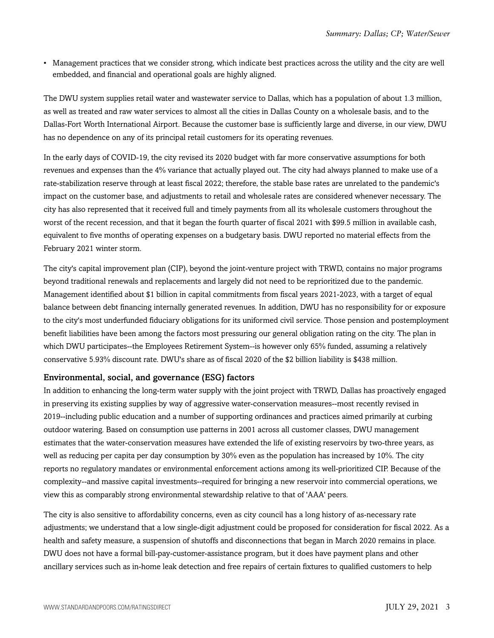• Management practices that we consider strong, which indicate best practices across the utility and the city are well embedded, and financial and operational goals are highly aligned.

The DWU system supplies retail water and wastewater service to Dallas, which has a population of about 1.3 million, as well as treated and raw water services to almost all the cities in Dallas County on a wholesale basis, and to the Dallas-Fort Worth International Airport. Because the customer base is sufficiently large and diverse, in our view, DWU has no dependence on any of its principal retail customers for its operating revenues.

In the early days of COVID-19, the city revised its 2020 budget with far more conservative assumptions for both revenues and expenses than the 4% variance that actually played out. The city had always planned to make use of a rate-stabilization reserve through at least fiscal 2022; therefore, the stable base rates are unrelated to the pandemic's impact on the customer base, and adjustments to retail and wholesale rates are considered whenever necessary. The city has also represented that it received full and timely payments from all its wholesale customers throughout the worst of the recent recession, and that it began the fourth quarter of fiscal 2021 with \$99.5 million in available cash, equivalent to five months of operating expenses on a budgetary basis. DWU reported no material effects from the February 2021 winter storm.

The city's capital improvement plan (CIP), beyond the joint-venture project with TRWD, contains no major programs beyond traditional renewals and replacements and largely did not need to be reprioritized due to the pandemic. Management identified about \$1 billion in capital commitments from fiscal years 2021-2023, with a target of equal balance between debt financing internally generated revenues. In addition, DWU has no responsibility for or exposure to the city's most underfunded fiduciary obligations for its uniformed civil service. Those pension and postemployment benefit liabilities have been among the factors most pressuring our general obligation rating on the city. The plan in which DWU participates--the Employees Retirement System--is however only 65% funded, assuming a relatively conservative 5.93% discount rate. DWU's share as of fiscal 2020 of the \$2 billion liability is \$438 million.

#### Environmental, social, and governance (ESG) factors

In addition to enhancing the long-term water supply with the joint project with TRWD, Dallas has proactively engaged in preserving its existing supplies by way of aggressive water-conservation measures--most recently revised in 2019--including public education and a number of supporting ordinances and practices aimed primarily at curbing outdoor watering. Based on consumption use patterns in 2001 across all customer classes, DWU management estimates that the water-conservation measures have extended the life of existing reservoirs by two-three years, as well as reducing per capita per day consumption by 30% even as the population has increased by 10%. The city reports no regulatory mandates or environmental enforcement actions among its well-prioritized CIP. Because of the complexity--and massive capital investments--required for bringing a new reservoir into commercial operations, we view this as comparably strong environmental stewardship relative to that of 'AAA' peers.

The city is also sensitive to affordability concerns, even as city council has a long history of as-necessary rate adjustments; we understand that a low single-digit adjustment could be proposed for consideration for fiscal 2022. As a health and safety measure, a suspension of shutoffs and disconnections that began in March 2020 remains in place. DWU does not have a formal bill-pay-customer-assistance program, but it does have payment plans and other ancillary services such as in-home leak detection and free repairs of certain fixtures to qualified customers to help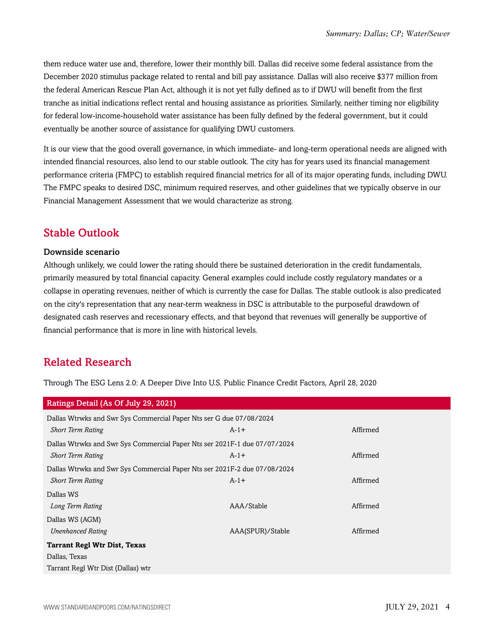them reduce water use and, therefore, lower their monthly bill. Dallas did receive some federal assistance from the December 2020 stimulus package related to rental and bill pay assistance. Dallas will also receive \$377 million from the federal American Rescue Plan Act, although it is not yet fully defined as to if DWU will benefit from the first tranche as initial indications reflect rental and housing assistance as priorities. Similarly, neither timing nor eligibility for federal low-income-household water assistance has been fully defined by the federal government, but it could eventually be another source of assistance for qualifying DWU customers.

It is our view that the good overall governance, in which immediate- and long-term operational needs are aligned with intended financial resources, also lend to our stable outlook. The city has for years used its financial management performance criteria (FMPC) to establish required financial metrics for all of its major operating funds, including DWU. The FMPC speaks to desired DSC, minimum required reserves, and other guidelines that we typically observe in our Financial Management Assessment that we would characterize as strong.

#### <span id="page-4-0"></span>Stable Outlook

#### Downside scenario

Although unlikely, we could lower the rating should there be sustained deterioration in the credit fundamentals, primarily measured by total financial capacity. General examples could include costly regulatory mandates or a collapse in operating revenues, neither of which is currently the case for Dallas. The stable outlook is also predicated on the city's representation that any near-term weakness in DSC is attributable to the purposeful drawdown of designated cash reserves and recessionary effects, and that beyond that revenues will generally be supportive of financial performance that is more in line with historical levels.

### <span id="page-4-1"></span>Related Research

Through The ESG Lens 2.0: A Deeper Dive Into U.S. Public Finance Credit Factors, April 28, 2020

| Ratings Detail (As Of July 29, 2021)                                      |                  |          |  |  |
|---------------------------------------------------------------------------|------------------|----------|--|--|
| Dallas Wtrwks and Swr Sys Commercial Paper Nts ser G due 07/08/2024       |                  |          |  |  |
| <b>Short Term Rating</b>                                                  | $A-1+$           | Affirmed |  |  |
| Dallas Wtrwks and Swr Sys Commercial Paper Nts ser 2021F-1 due 07/07/2024 |                  |          |  |  |
| <b>Short Term Rating</b>                                                  | $A-1+$           | Affirmed |  |  |
| Dallas Wtrwks and Swr Sys Commercial Paper Nts ser 2021F-2 due 07/08/2024 |                  |          |  |  |
| <b>Short Term Rating</b>                                                  | $A-1+$           | Affirmed |  |  |
| Dallas WS                                                                 |                  |          |  |  |
| Long Term Rating                                                          | AAA/Stable       | Affirmed |  |  |
| Dallas WS (AGM)                                                           |                  |          |  |  |
| <b>Unenhanced Rating</b>                                                  | AAA(SPUR)/Stable | Affirmed |  |  |
| <b>Tarrant Regl Wtr Dist, Texas</b>                                       |                  |          |  |  |
| Dallas, Texas                                                             |                  |          |  |  |
| Tarrant Regl Wtr Dist (Dallas) wtr                                        |                  |          |  |  |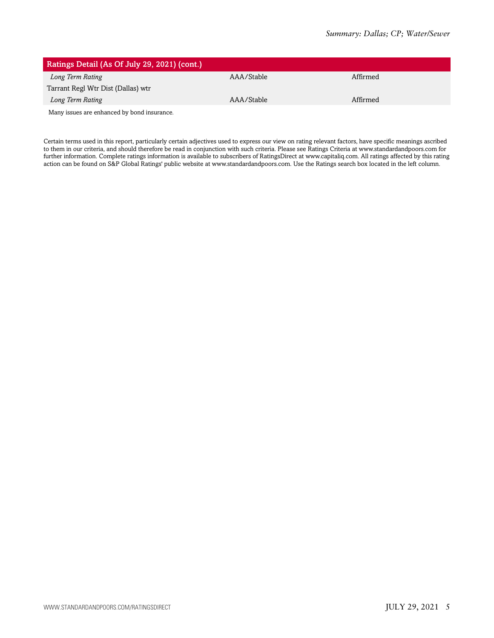| Ratings Detail (As Of July 29, 2021) (cont.) |            |          |
|----------------------------------------------|------------|----------|
| Long Term Rating                             | AAA/Stable | Affirmed |
| Tarrant Regl Wtr Dist (Dallas) wtr           |            |          |
| Long Term Rating                             | AAA/Stable | Affirmed |
| Many issues are enhanced by bond insurance.  |            |          |

Certain terms used in this report, particularly certain adjectives used to express our view on rating relevant factors, have specific meanings ascribed to them in our criteria, and should therefore be read in conjunction with such criteria. Please see Ratings Criteria at www.standardandpoors.com for further information. Complete ratings information is available to subscribers of RatingsDirect at www.capitaliq.com. All ratings affected by this rating action can be found on S&P Global Ratings' public website at www.standardandpoors.com. Use the Ratings search box located in the left column.